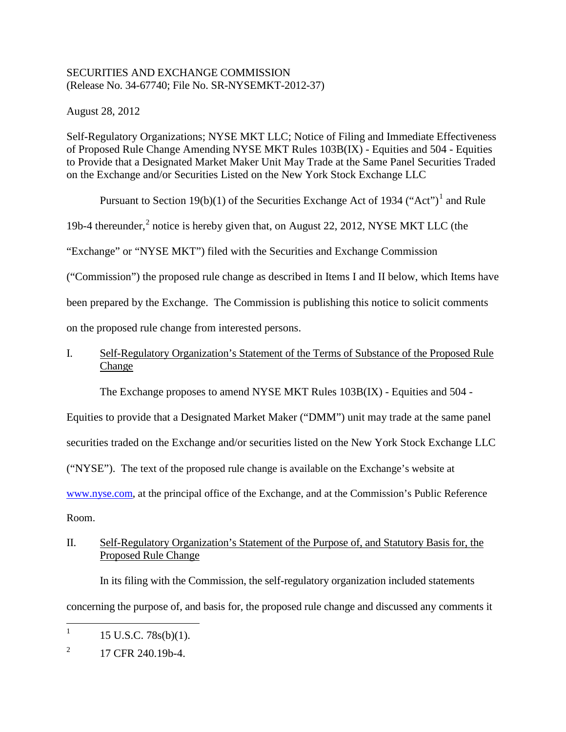# SECURITIES AND EXCHANGE COMMISSION (Release No. 34-67740; File No. SR-NYSEMKT-2012-37)

August 28, 2012

Self-Regulatory Organizations; NYSE MKT LLC; Notice of Filing and Immediate Effectiveness of Proposed Rule Change Amending NYSE MKT Rules 103B(IX) - Equities and 504 - Equities to Provide that a Designated Market Maker Unit May Trade at the Same Panel Securities Traded on the Exchange and/or Securities Listed on the New York Stock Exchange LLC

Pursuant to Section [1](#page-0-0)9(b)(1) of the Securities Exchange Act of 1934 ("Act")<sup>1</sup> and Rule

19b-4 thereunder,<sup>[2](#page-0-1)</sup> notice is hereby given that, on August 22, 2012, NYSE MKT LLC (the

"Exchange" or "NYSE MKT") filed with the Securities and Exchange Commission

("Commission") the proposed rule change as described in Items I and II below, which Items have

been prepared by the Exchange. The Commission is publishing this notice to solicit comments

on the proposed rule change from interested persons.

# I. Self-Regulatory Organization's Statement of the Terms of Substance of the Proposed Rule Change

The Exchange proposes to amend NYSE MKT Rules 103B(IX) - Equities and 504 -

Equities to provide that a Designated Market Maker ("DMM") unit may trade at the same panel

securities traded on the Exchange and/or securities listed on the New York Stock Exchange LLC

("NYSE"). The text of the proposed rule change is available on the Exchange's website at

www.nyse.com, at the principal office of the Exchange, and at the Commission's Public Reference

Room.

# II. Self-Regulatory Organization's Statement of the Purpose of, and Statutory Basis for, the Proposed Rule Change

In its filing with the Commission, the self-regulatory organization included statements concerning the purpose of, and basis for, the proposed rule change and discussed any comments it

<span id="page-0-0"></span><sup>&</sup>lt;sup>1</sup> 15 U.S.C. 78s(b)(1).

<span id="page-0-1"></span> $^{2}$  17 CFR 240.19b-4.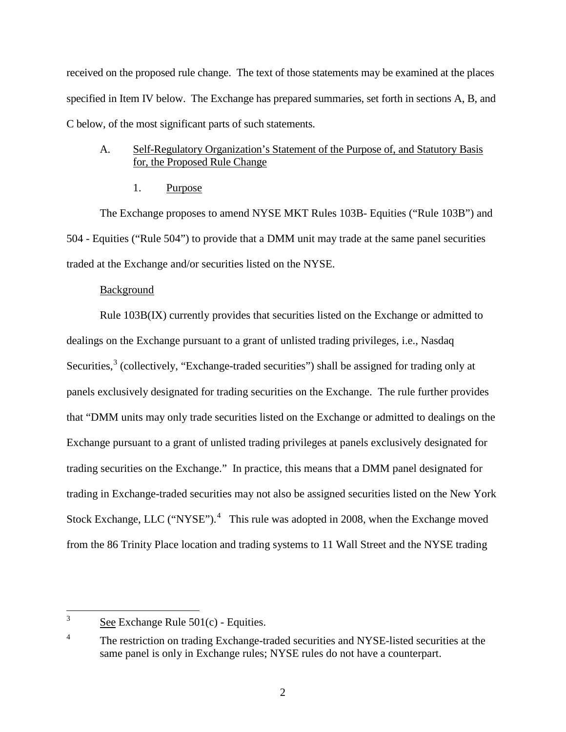received on the proposed rule change. The text of those statements may be examined at the places specified in Item IV below. The Exchange has prepared summaries, set forth in sections A, B, and C below, of the most significant parts of such statements.

## A. Self-Regulatory Organization's Statement of the Purpose of, and Statutory Basis for, the Proposed Rule Change

1. Purpose

The Exchange proposes to amend NYSE MKT Rules 103B- Equities ("Rule 103B") and 504 - Equities ("Rule 504") to provide that a DMM unit may trade at the same panel securities traded at the Exchange and/or securities listed on the NYSE.

### Background

Rule 103B(IX) currently provides that securities listed on the Exchange or admitted to dealings on the Exchange pursuant to a grant of unlisted trading privileges, i.e., Nasdaq Securities,<sup>[3](#page-1-0)</sup> (collectively, "Exchange-traded securities") shall be assigned for trading only at panels exclusively designated for trading securities on the Exchange. The rule further provides that "DMM units may only trade securities listed on the Exchange or admitted to dealings on the Exchange pursuant to a grant of unlisted trading privileges at panels exclusively designated for trading securities on the Exchange." In practice, this means that a DMM panel designated for trading in Exchange-traded securities may not also be assigned securities listed on the New York Stock Exchange, LLC ("NYSE"). $4$  This rule was adopted in 2008, when the Exchange moved from the 86 Trinity Place location and trading systems to 11 Wall Street and the NYSE trading

<span id="page-1-0"></span> $3 \text{ See Exchange Rule } 501(c)$  - Equities.

<span id="page-1-1"></span><sup>&</sup>lt;sup>4</sup> The restriction on trading Exchange-traded securities and NYSE-listed securities at the same panel is only in Exchange rules; NYSE rules do not have a counterpart.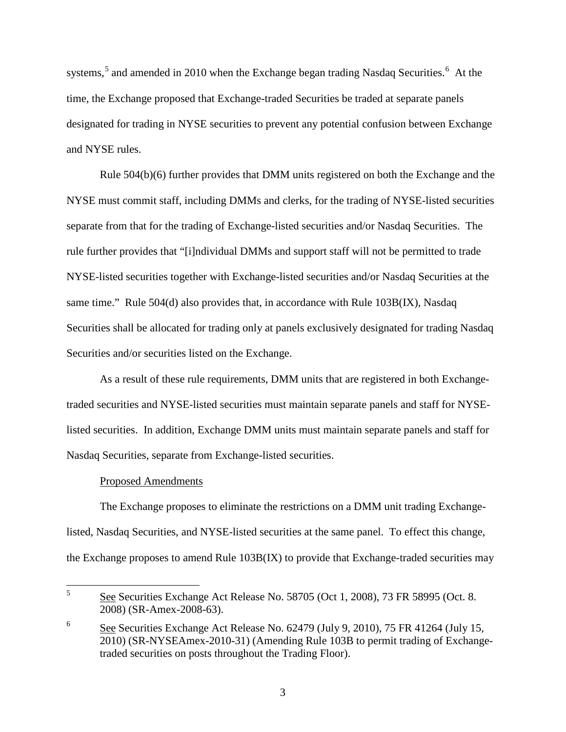systems,<sup>[5](#page-2-0)</sup> and amended in 2010 when the Exchange began trading Nasdaq Securities.<sup>[6](#page-2-1)</sup> At the time, the Exchange proposed that Exchange-traded Securities be traded at separate panels designated for trading in NYSE securities to prevent any potential confusion between Exchange and NYSE rules.

Rule 504(b)(6) further provides that DMM units registered on both the Exchange and the NYSE must commit staff, including DMMs and clerks, for the trading of NYSE-listed securities separate from that for the trading of Exchange-listed securities and/or Nasdaq Securities. The rule further provides that "[i]ndividual DMMs and support staff will not be permitted to trade NYSE-listed securities together with Exchange-listed securities and/or Nasdaq Securities at the same time." Rule 504(d) also provides that, in accordance with Rule 103B(IX), Nasdaq Securities shall be allocated for trading only at panels exclusively designated for trading Nasdaq Securities and/or securities listed on the Exchange.

As a result of these rule requirements, DMM units that are registered in both Exchangetraded securities and NYSE-listed securities must maintain separate panels and staff for NYSElisted securities. In addition, Exchange DMM units must maintain separate panels and staff for Nasdaq Securities, separate from Exchange-listed securities.

#### Proposed Amendments

The Exchange proposes to eliminate the restrictions on a DMM unit trading Exchangelisted, Nasdaq Securities, and NYSE-listed securities at the same panel. To effect this change, the Exchange proposes to amend Rule 103B(IX) to provide that Exchange-traded securities may

<span id="page-2-0"></span> <sup>5</sup> See Securities Exchange Act Release No. 58705 (Oct 1, 2008), 73 FR 58995 (Oct. 8. 2008) (SR-Amex-2008-63).

<span id="page-2-1"></span><sup>&</sup>lt;sup>6</sup> See Securities Exchange Act Release No.  $62479$  (July 9, 2010), 75 FR 41264 (July 15, 2010) (SR-NYSEAmex-2010-31) (Amending Rule 103B to permit trading of Exchangetraded securities on posts throughout the Trading Floor).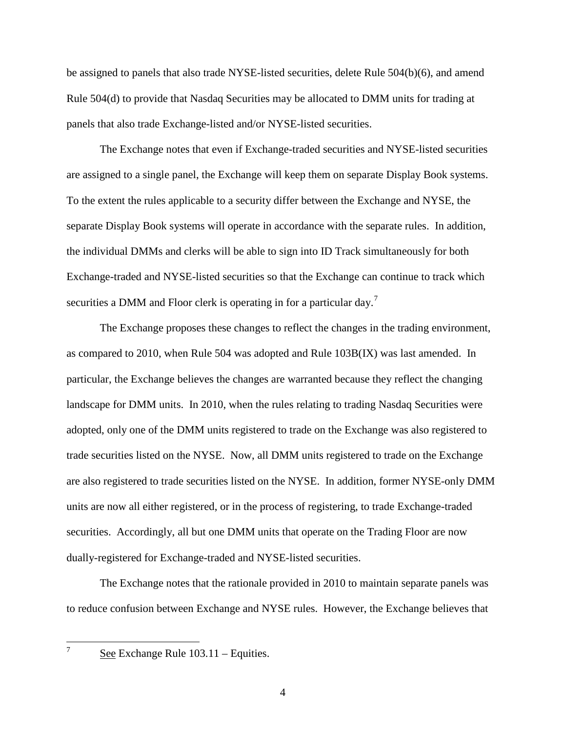be assigned to panels that also trade NYSE-listed securities, delete Rule 504(b)(6), and amend Rule 504(d) to provide that Nasdaq Securities may be allocated to DMM units for trading at panels that also trade Exchange-listed and/or NYSE-listed securities.

The Exchange notes that even if Exchange-traded securities and NYSE-listed securities are assigned to a single panel, the Exchange will keep them on separate Display Book systems. To the extent the rules applicable to a security differ between the Exchange and NYSE, the separate Display Book systems will operate in accordance with the separate rules. In addition, the individual DMMs and clerks will be able to sign into ID Track simultaneously for both Exchange-traded and NYSE-listed securities so that the Exchange can continue to track which securities a DMM and Floor clerk is operating in for a particular day.<sup>[7](#page-3-0)</sup>

The Exchange proposes these changes to reflect the changes in the trading environment, as compared to 2010, when Rule 504 was adopted and Rule 103B(IX) was last amended. In particular, the Exchange believes the changes are warranted because they reflect the changing landscape for DMM units. In 2010, when the rules relating to trading Nasdaq Securities were adopted, only one of the DMM units registered to trade on the Exchange was also registered to trade securities listed on the NYSE. Now, all DMM units registered to trade on the Exchange are also registered to trade securities listed on the NYSE. In addition, former NYSE-only DMM units are now all either registered, or in the process of registering, to trade Exchange-traded securities. Accordingly, all but one DMM units that operate on the Trading Floor are now dually-registered for Exchange-traded and NYSE-listed securities.

The Exchange notes that the rationale provided in 2010 to maintain separate panels was to reduce confusion between Exchange and NYSE rules. However, the Exchange believes that

<span id="page-3-0"></span>

 $\frac{7}{2}$  See Exchange Rule 103.11 – Equities.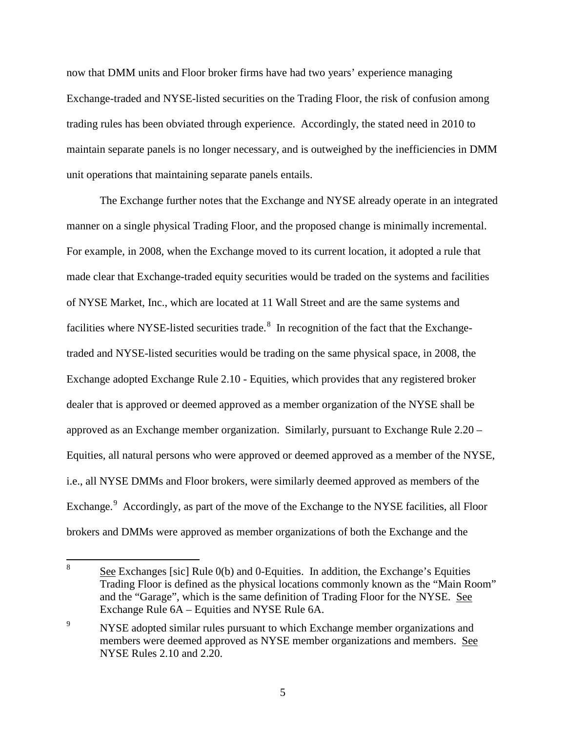now that DMM units and Floor broker firms have had two years' experience managing Exchange-traded and NYSE-listed securities on the Trading Floor, the risk of confusion among trading rules has been obviated through experience. Accordingly, the stated need in 2010 to maintain separate panels is no longer necessary, and is outweighed by the inefficiencies in DMM unit operations that maintaining separate panels entails.

The Exchange further notes that the Exchange and NYSE already operate in an integrated manner on a single physical Trading Floor, and the proposed change is minimally incremental. For example, in 2008, when the Exchange moved to its current location, it adopted a rule that made clear that Exchange-traded equity securities would be traded on the systems and facilities of NYSE Market, Inc., which are located at 11 Wall Street and are the same systems and facilities where NYSE-listed securities trade.<sup>[8](#page-4-0)</sup> In recognition of the fact that the Exchangetraded and NYSE-listed securities would be trading on the same physical space, in 2008, the Exchange adopted Exchange Rule 2.10 - Equities, which provides that any registered broker dealer that is approved or deemed approved as a member organization of the NYSE shall be approved as an Exchange member organization. Similarly, pursuant to Exchange Rule 2.20 – Equities, all natural persons who were approved or deemed approved as a member of the NYSE, i.e., all NYSE DMMs and Floor brokers, were similarly deemed approved as members of the Exchange.<sup>[9](#page-4-1)</sup> Accordingly, as part of the move of the Exchange to the NYSE facilities, all Floor brokers and DMMs were approved as member organizations of both the Exchange and the

<span id="page-4-0"></span><sup>&</sup>lt;sup>8</sup> See Exchanges [sic] Rule  $0(b)$  and 0-Equities. In addition, the Exchange's Equities Trading Floor is defined as the physical locations commonly known as the "Main Room" and the "Garage", which is the same definition of Trading Floor for the NYSE. See Exchange Rule 6A – Equities and NYSE Rule 6A.

<span id="page-4-1"></span><sup>&</sup>lt;sup>9</sup> NYSE adopted similar rules pursuant to which Exchange member organizations and members were deemed approved as NYSE member organizations and members. See NYSE Rules 2.10 and 2.20.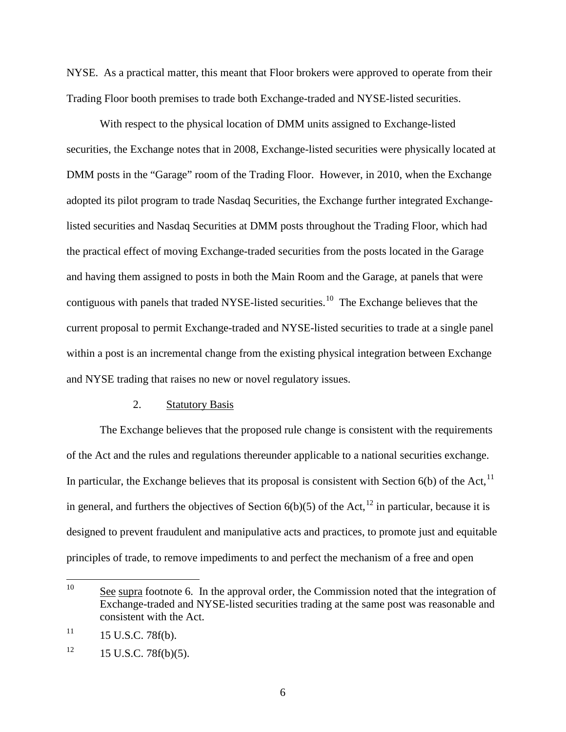NYSE. As a practical matter, this meant that Floor brokers were approved to operate from their Trading Floor booth premises to trade both Exchange-traded and NYSE-listed securities.

With respect to the physical location of DMM units assigned to Exchange-listed securities, the Exchange notes that in 2008, Exchange-listed securities were physically located at DMM posts in the "Garage" room of the Trading Floor. However, in 2010, when the Exchange adopted its pilot program to trade Nasdaq Securities, the Exchange further integrated Exchangelisted securities and Nasdaq Securities at DMM posts throughout the Trading Floor, which had the practical effect of moving Exchange-traded securities from the posts located in the Garage and having them assigned to posts in both the Main Room and the Garage, at panels that were contiguous with panels that traded NYSE-listed securities.<sup>10</sup> The Exchange believes that the current proposal to permit Exchange-traded and NYSE-listed securities to trade at a single panel within a post is an incremental change from the existing physical integration between Exchange and NYSE trading that raises no new or novel regulatory issues.

#### 2. Statutory Basis

The Exchange believes that the proposed rule change is consistent with the requirements of the Act and the rules and regulations thereunder applicable to a national securities exchange. In particular, the Exchange believes that its proposal is consistent with Section  $6(b)$  of the Act,<sup>[11](#page-5-1)</sup> in general, and furthers the objectives of Section  $6(b)(5)$  of the Act,<sup>[12](#page-5-2)</sup> in particular, because it is designed to prevent fraudulent and manipulative acts and practices, to promote just and equitable principles of trade, to remove impediments to and perfect the mechanism of a free and open

<span id="page-5-0"></span><sup>&</sup>lt;sup>10</sup> See supra footnote 6. In the approval order, the Commission noted that the integration of Exchange-traded and NYSE-listed securities trading at the same post was reasonable and consistent with the Act.

<span id="page-5-1"></span> $11$  15 U.S.C. 78f(b).

<span id="page-5-2"></span> $12 \t15$  U.S.C. 78f(b)(5).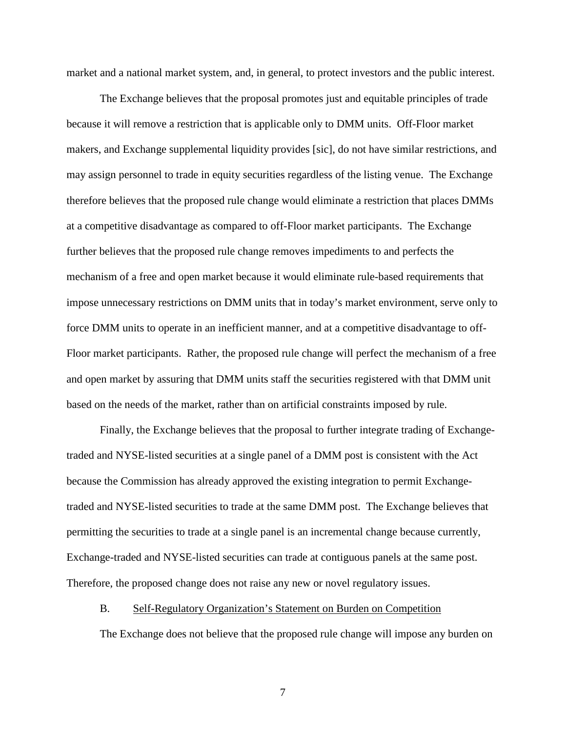market and a national market system, and, in general, to protect investors and the public interest.

The Exchange believes that the proposal promotes just and equitable principles of trade because it will remove a restriction that is applicable only to DMM units. Off-Floor market makers, and Exchange supplemental liquidity provides [sic], do not have similar restrictions, and may assign personnel to trade in equity securities regardless of the listing venue. The Exchange therefore believes that the proposed rule change would eliminate a restriction that places DMMs at a competitive disadvantage as compared to off-Floor market participants. The Exchange further believes that the proposed rule change removes impediments to and perfects the mechanism of a free and open market because it would eliminate rule-based requirements that impose unnecessary restrictions on DMM units that in today's market environment, serve only to force DMM units to operate in an inefficient manner, and at a competitive disadvantage to off-Floor market participants. Rather, the proposed rule change will perfect the mechanism of a free and open market by assuring that DMM units staff the securities registered with that DMM unit based on the needs of the market, rather than on artificial constraints imposed by rule.

Finally, the Exchange believes that the proposal to further integrate trading of Exchangetraded and NYSE-listed securities at a single panel of a DMM post is consistent with the Act because the Commission has already approved the existing integration to permit Exchangetraded and NYSE-listed securities to trade at the same DMM post. The Exchange believes that permitting the securities to trade at a single panel is an incremental change because currently, Exchange-traded and NYSE-listed securities can trade at contiguous panels at the same post. Therefore, the proposed change does not raise any new or novel regulatory issues.

#### B. Self-Regulatory Organization's Statement on Burden on Competition

The Exchange does not believe that the proposed rule change will impose any burden on

7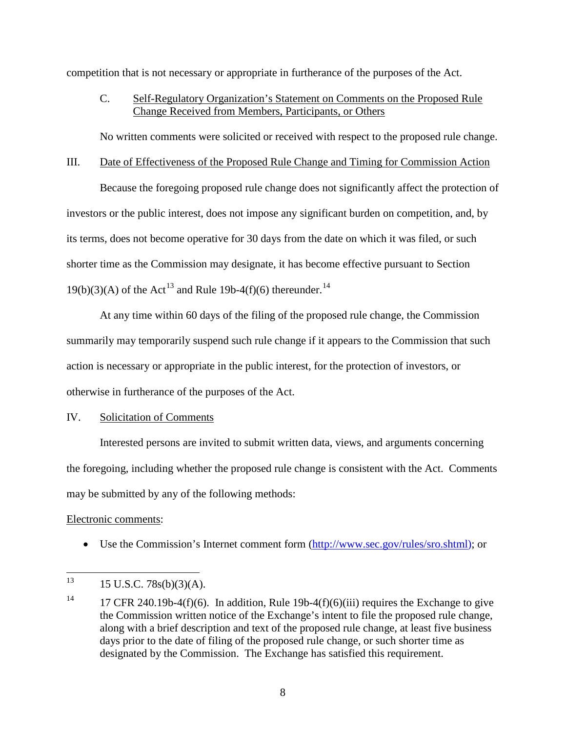competition that is not necessary or appropriate in furtherance of the purposes of the Act.

# C. Self-Regulatory Organization's Statement on Comments on the Proposed Rule Change Received from Members, Participants, or Others

No written comments were solicited or received with respect to the proposed rule change.

### III. Date of Effectiveness of the Proposed Rule Change and Timing for Commission Action

Because the foregoing proposed rule change does not significantly affect the protection of investors or the public interest, does not impose any significant burden on competition, and, by its terms, does not become operative for 30 days from the date on which it was filed, or such shorter time as the Commission may designate, it has become effective pursuant to Section  $19(b)(3)(A)$  of the Act<sup>[13](#page-7-0)</sup> and Rule 19b-4(f)(6) thereunder.<sup>[14](#page-7-1)</sup>

At any time within 60 days of the filing of the proposed rule change, the Commission summarily may temporarily suspend such rule change if it appears to the Commission that such action is necessary or appropriate in the public interest, for the protection of investors, or otherwise in furtherance of the purposes of the Act.

## IV. Solicitation of Comments

Interested persons are invited to submit written data, views, and arguments concerning the foregoing, including whether the proposed rule change is consistent with the Act. Comments may be submitted by any of the following methods:

### Electronic comments:

• Use the Commission's Internet comment form [\(http://www.sec.gov/rules/sro.shtml\)](http://www.sec.gov/rules/sro.shtml); or

<span id="page-7-0"></span> $13$  15 U.S.C. 78s(b)(3)(A).

<span id="page-7-1"></span><sup>&</sup>lt;sup>14</sup> 17 CFR 240.19b-4(f)(6). In addition, Rule 19b-4(f)(6)(iii) requires the Exchange to give the Commission written notice of the Exchange's intent to file the proposed rule change, along with a brief description and text of the proposed rule change, at least five business days prior to the date of filing of the proposed rule change, or such shorter time as designated by the Commission. The Exchange has satisfied this requirement.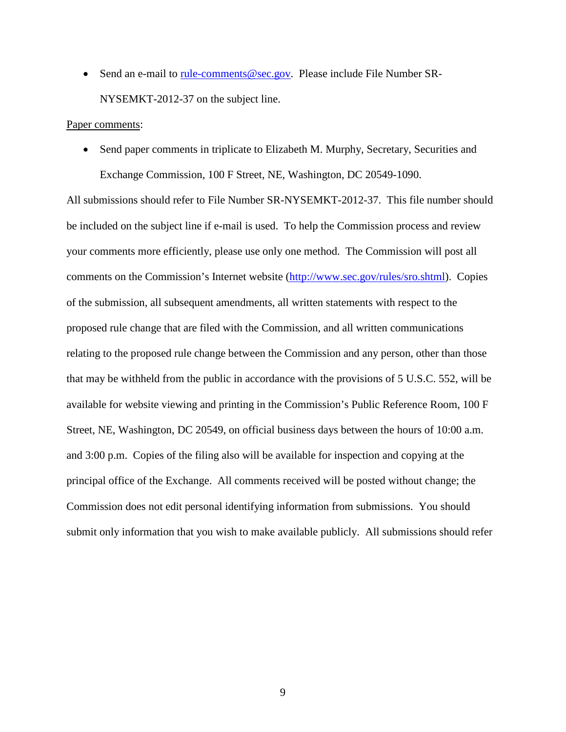• Send an e-mail to [rule-comments@sec.gov.](mailto:rule-comments@sec.gov) Please include File Number SR-NYSEMKT-2012-37 on the subject line.

#### Paper comments:

• Send paper comments in triplicate to Elizabeth M. Murphy, Secretary, Securities and Exchange Commission, 100 F Street, NE, Washington, DC 20549-1090.

All submissions should refer to File Number SR-NYSEMKT-2012-37. This file number should be included on the subject line if e-mail is used. To help the Commission process and review your comments more efficiently, please use only one method. The Commission will post all comments on the Commission's Internet website [\(http://www.sec.gov/rules/sro.shtml\)](http://www.sec.gov/rules/sro.shtml). Copies of the submission, all subsequent amendments, all written statements with respect to the proposed rule change that are filed with the Commission, and all written communications relating to the proposed rule change between the Commission and any person, other than those that may be withheld from the public in accordance with the provisions of 5 U.S.C. 552, will be available for website viewing and printing in the Commission's Public Reference Room, 100 F Street, NE, Washington, DC 20549, on official business days between the hours of 10:00 a.m. and 3:00 p.m. Copies of the filing also will be available for inspection and copying at the principal office of the Exchange. All comments received will be posted without change; the Commission does not edit personal identifying information from submissions. You should submit only information that you wish to make available publicly. All submissions should refer